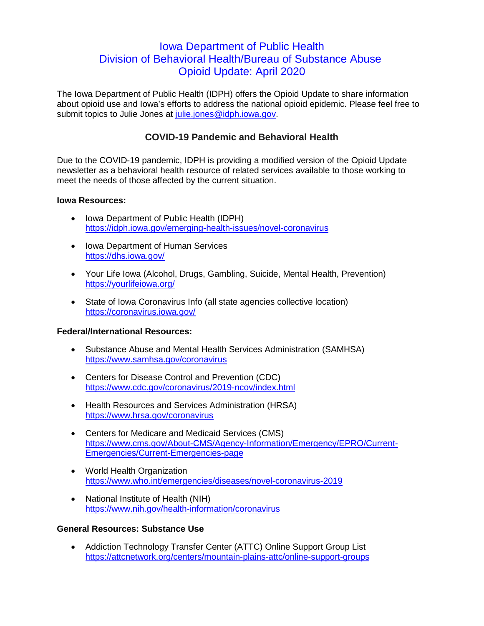# Iowa Department of Public Health Division of Behavioral Health/Bureau of Substance Abuse Opioid Update: April 2020

The Iowa Department of Public Health (IDPH) offers the Opioid Update to share information about opioid use and Iowa's efforts to address the national opioid epidemic. Please feel free to submit topics to Julie Jones at julie.jones@idph.jowa.gov.

## **COVID-19 Pandemic and Behavioral Health**

Due to the COVID-19 pandemic, IDPH is providing a modified version of the Opioid Update newsletter as a behavioral health resource of related services available to those working to meet the needs of those affected by the current situation.

#### **Iowa Resources:**

- Iowa Department of Public Health (IDPH) <https://idph.iowa.gov/emerging-health-issues/novel-coronavirus>
- Iowa Department of Human Services <https://dhs.iowa.gov/>
- Your Life Iowa (Alcohol, Drugs, Gambling, Suicide, Mental Health, Prevention) <https://yourlifeiowa.org/>
- State of Iowa Coronavirus Info (all state agencies collective location) <https://coronavirus.iowa.gov/>

### **Federal/International Resources:**

- Substance Abuse and Mental Health Services Administration (SAMHSA) <https://www.samhsa.gov/coronavirus>
- Centers for Disease Control and Prevention (CDC) <https://www.cdc.gov/coronavirus/2019-ncov/index.html>
- Health Resources and Services Administration (HRSA) <https://www.hrsa.gov/coronavirus>
- Centers for Medicare and Medicaid Services (CMS) [https://www.cms.gov/About-CMS/Agency-Information/Emergency/EPRO/Current-](https://www.cms.gov/About-CMS/Agency-Information/Emergency/EPRO/Current-Emergencies/Current-Emergencies-page)[Emergencies/Current-Emergencies-page](https://www.cms.gov/About-CMS/Agency-Information/Emergency/EPRO/Current-Emergencies/Current-Emergencies-page)
- World Health Organization <https://www.who.int/emergencies/diseases/novel-coronavirus-2019>
- National Institute of Health (NIH) <https://www.nih.gov/health-information/coronavirus>

### **General Resources: Substance Use**

• Addiction Technology Transfer Center (ATTC) Online Support Group List <https://attcnetwork.org/centers/mountain-plains-attc/online-support-groups>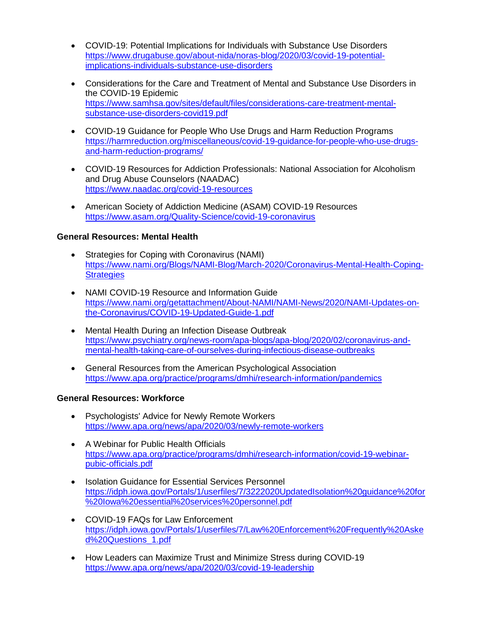- COVID-19: Potential Implications for Individuals with Substance Use Disorders [https://www.drugabuse.gov/about-nida/noras-blog/2020/03/covid-19-potential](https://www.drugabuse.gov/about-nida/noras-blog/2020/03/covid-19-potential-implications-individuals-substance-use-disorders)[implications-individuals-substance-use-disorders](https://www.drugabuse.gov/about-nida/noras-blog/2020/03/covid-19-potential-implications-individuals-substance-use-disorders)
- Considerations for the Care and Treatment of Mental and Substance Use Disorders in the COVID-19 Epidemic [https://www.samhsa.gov/sites/default/files/considerations-care-treatment-mental](https://www.samhsa.gov/sites/default/files/considerations-care-treatment-mental-substance-use-disorders-covid19.pdf)[substance-use-disorders-covid19.pdf](https://www.samhsa.gov/sites/default/files/considerations-care-treatment-mental-substance-use-disorders-covid19.pdf)
- COVID-19 Guidance for People Who Use Drugs and Harm Reduction Programs [https://harmreduction.org/miscellaneous/covid-19-guidance-for-people-who-use-drugs](https://harmreduction.org/miscellaneous/covid-19-guidance-for-people-who-use-drugs-and-harm-reduction-programs/)[and-harm-reduction-programs/](https://harmreduction.org/miscellaneous/covid-19-guidance-for-people-who-use-drugs-and-harm-reduction-programs/)
- COVID-19 Resources for Addiction Professionals: National Association for Alcoholism and Drug Abuse Counselors (NAADAC) <https://www.naadac.org/covid-19-resources>
- American Society of Addiction Medicine (ASAM) COVID-19 Resources <https://www.asam.org/Quality-Science/covid-19-coronavirus>

### **General Resources: Mental Health**

- Strategies for Coping with Coronavirus (NAMI) [https://www.nami.org/Blogs/NAMI-Blog/March-2020/Coronavirus-Mental-Health-Coping-](https://www.nami.org/Blogs/NAMI-Blog/March-2020/Coronavirus-Mental-Health-Coping-Strategies)**[Strategies](https://www.nami.org/Blogs/NAMI-Blog/March-2020/Coronavirus-Mental-Health-Coping-Strategies)**
- NAMI COVID-19 Resource and Information Guide [https://www.nami.org/getattachment/About-NAMI/NAMI-News/2020/NAMI-Updates-on](https://www.nami.org/getattachment/About-NAMI/NAMI-News/2020/NAMI-Updates-on-the-Coronavirus/COVID-19-Updated-Guide-1.pdf)[the-Coronavirus/COVID-19-Updated-Guide-1.pdf](https://www.nami.org/getattachment/About-NAMI/NAMI-News/2020/NAMI-Updates-on-the-Coronavirus/COVID-19-Updated-Guide-1.pdf)
- Mental Health During an Infection Disease Outbreak [https://www.psychiatry.org/news-room/apa-blogs/apa-blog/2020/02/coronavirus-and](https://www.psychiatry.org/news-room/apa-blogs/apa-blog/2020/02/coronavirus-and-mental-health-taking-care-of-ourselves-during-infectious-disease-outbreaks)[mental-health-taking-care-of-ourselves-during-infectious-disease-outbreaks](https://www.psychiatry.org/news-room/apa-blogs/apa-blog/2020/02/coronavirus-and-mental-health-taking-care-of-ourselves-during-infectious-disease-outbreaks)
- General Resources from the American Psychological Association <https://www.apa.org/practice/programs/dmhi/research-information/pandemics>

### **General Resources: Workforce**

- Psychologists' Advice for Newly Remote Workers <https://www.apa.org/news/apa/2020/03/newly-remote-workers>
- A Webinar for Public Health Officials [https://www.apa.org/practice/programs/dmhi/research-information/covid-19-webinar](https://www.apa.org/practice/programs/dmhi/research-information/covid-19-webinar-pubic-officials.pdf)[pubic-officials.pdf](https://www.apa.org/practice/programs/dmhi/research-information/covid-19-webinar-pubic-officials.pdf)
- Isolation Guidance for Essential Services Personnel [https://idph.iowa.gov/Portals/1/userfiles/7/3222020UpdatedIsolation%20guidance%20for](https://idph.iowa.gov/Portals/1/userfiles/7/3222020UpdatedIsolation%20guidance%20for%20Iowa%20essential%20services%20personnel.pdf) [%20Iowa%20essential%20services%20personnel.pdf](https://idph.iowa.gov/Portals/1/userfiles/7/3222020UpdatedIsolation%20guidance%20for%20Iowa%20essential%20services%20personnel.pdf)
- COVID-19 FAQs for Law Enforcement [https://idph.iowa.gov/Portals/1/userfiles/7/Law%20Enforcement%20Frequently%20Aske](https://idph.iowa.gov/Portals/1/userfiles/7/Law%20Enforcement%20Frequently%20Asked%20Questions_1.pdf) [d%20Questions\\_1.pdf](https://idph.iowa.gov/Portals/1/userfiles/7/Law%20Enforcement%20Frequently%20Asked%20Questions_1.pdf)
- How Leaders can Maximize Trust and Minimize Stress during COVID-19 <https://www.apa.org/news/apa/2020/03/covid-19-leadership>